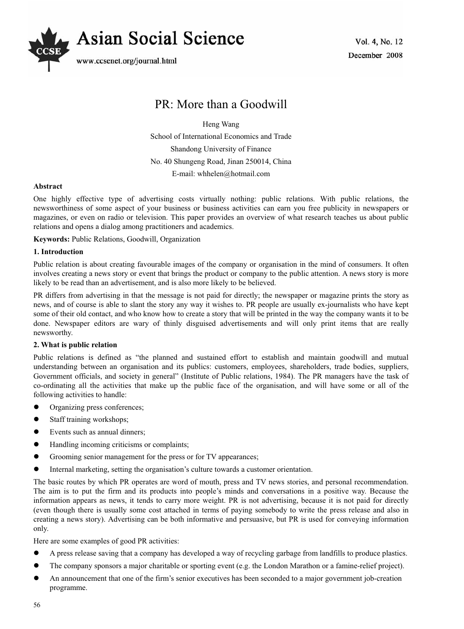

# PR: More than a Goodwill

Heng Wang School of International Economics and Trade Shandong University of Finance No. 40 Shungeng Road, Jinan 250014, China E-mail: whhelen@hotmail.com

# **Abstract**

One highly effective type of advertising costs virtually nothing: public relations. With public relations, the newsworthiness of some aspect of your business or business activities can earn you free publicity in newspapers or magazines, or even on radio or television. This paper provides an overview of what research teaches us about public relations and opens a dialog among practitioners and academics.

**Keywords:** Public Relations, Goodwill, Organization

#### **1. Introduction**

Public relation is about creating favourable images of the company or organisation in the mind of consumers. It often involves creating a news story or event that brings the product or company to the public attention. A news story is more likely to be read than an advertisement, and is also more likely to be believed.

PR differs from advertising in that the message is not paid for directly; the newspaper or magazine prints the story as news, and of course is able to slant the story any way it wishes to. PR people are usually ex-journalists who have kept some of their old contact, and who know how to create a story that will be printed in the way the company wants it to be done. Newspaper editors are wary of thinly disguised advertisements and will only print items that are really newsworthy.

## **2. What is public relation**

Public relations is defined as "the planned and sustained effort to establish and maintain goodwill and mutual understanding between an organisation and its publics: customers, employees, shareholders, trade bodies, suppliers, Government officials, and society in general" (Institute of Public relations, 1984). The PR managers have the task of co-ordinating all the activities that make up the public face of the organisation, and will have some or all of the following activities to handle:

- Organizing press conferences;
- Staff training workshops;
- Events such as annual dinners;
- Handling incoming criticisms or complaints;
- Grooming senior management for the press or for TV appearances;
- Internal marketing, setting the organisation's culture towards a customer orientation.

The basic routes by which PR operates are word of mouth, press and TV news stories, and personal recommendation. The aim is to put the firm and its products into people's minds and conversations in a positive way. Because the information appears as news, it tends to carry more weight. PR is not advertising, because it is not paid for directly (even though there is usually some cost attached in terms of paying somebody to write the press release and also in creating a news story). Advertising can be both informative and persuasive, but PR is used for conveying information only.

Here are some examples of good PR activities:

- z A press release saving that a company has developed a way of recycling garbage from landfills to produce plastics.
- The company sponsors a major charitable or sporting event (e.g. the London Marathon or a famine-relief project).
- An announcement that one of the firm's senior executives has been seconded to a major government job-creation programme.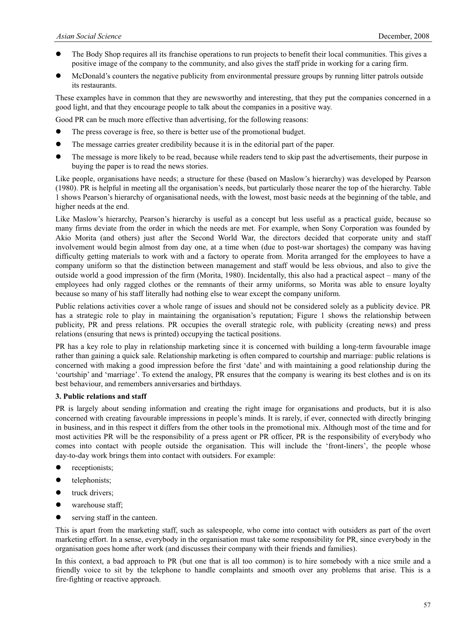- z The Body Shop requires all its franchise operations to run projects to benefit their local communities. This gives a positive image of the company to the community, and also gives the staff pride in working for a caring firm.
- McDonald's counters the negative publicity from environmental pressure groups by running litter patrols outside its restaurants.

These examples have in common that they are newsworthy and interesting, that they put the companies concerned in a good light, and that they encourage people to talk about the companies in a positive way.

Good PR can be much more effective than advertising, for the following reasons:

- The press coverage is free, so there is better use of the promotional budget.
- The message carries greater credibility because it is in the editorial part of the paper.
- The message is more likely to be read, because while readers tend to skip past the advertisements, their purpose in buying the paper is to read the news stories.

Like people, organisations have needs; a structure for these (based on Maslow's hierarchy) was developed by Pearson (1980). PR is helpful in meeting all the organisation's needs, but particularly those nearer the top of the hierarchy. Table 1 shows Pearson's hierarchy of organisational needs, with the lowest, most basic needs at the beginning of the table, and higher needs at the end.

Like Maslow's hierarchy, Pearson's hierarchy is useful as a concept but less useful as a practical guide, because so many firms deviate from the order in which the needs are met. For example, when Sony Corporation was founded by Akio Morita (and others) just after the Second World War, the directors decided that corporate unity and staff involvement would begin almost from day one, at a time when (due to post-war shortages) the company was having difficulty getting materials to work with and a factory to operate from. Morita arranged for the employees to have a company uniform so that the distinction between management and staff would be less obvious, and also to give the outside world a good impression of the firm (Morita, 1980). Incidentally, this also had a practical aspect – many of the employees had only ragged clothes or the remnants of their army uniforms, so Morita was able to ensure loyalty because so many of his staff literally had nothing else to wear except the company uniform.

Public relations activities cover a whole range of issues and should not be considered solely as a publicity device. PR has a strategic role to play in maintaining the organisation's reputation; Figure 1 shows the relationship between publicity, PR and press relations. PR occupies the overall strategic role, with publicity (creating news) and press relations (ensuring that news is printed) occupying the tactical positions.

PR has a key role to play in relationship marketing since it is concerned with building a long-term favourable image rather than gaining a quick sale. Relationship marketing is often compared to courtship and marriage: public relations is concerned with making a good impression before the first 'date' and with maintaining a good relationship during the 'courtship' and 'marriage'. To extend the analogy, PR ensures that the company is wearing its best clothes and is on its best behaviour, and remembers anniversaries and birthdays.

#### **3. Public relations and staff**

PR is largely about sending information and creating the right image for organisations and products, but it is also concerned with creating favourable impressions in people's minds. It is rarely, if ever, connected with directly bringing in business, and in this respect it differs from the other tools in the promotional mix. Although most of the time and for most activities PR will be the responsibility of a press agent or PR officer, PR is the responsibility of everybody who comes into contact with people outside the organisation. This will include the 'front-liners', the people whose day-to-day work brings them into contact with outsiders. For example:

- receptionists;
- telephonists;
- truck drivers:
- warehouse staff;
- serving staff in the canteen.

This is apart from the marketing staff, such as salespeople, who come into contact with outsiders as part of the overt marketing effort. In a sense, everybody in the organisation must take some responsibility for PR, since everybody in the organisation goes home after work (and discusses their company with their friends and families).

In this context, a bad approach to PR (but one that is all too common) is to hire somebody with a nice smile and a friendly voice to sit by the telephone to handle complaints and smooth over any problems that arise. This is a fire-fighting or reactive approach.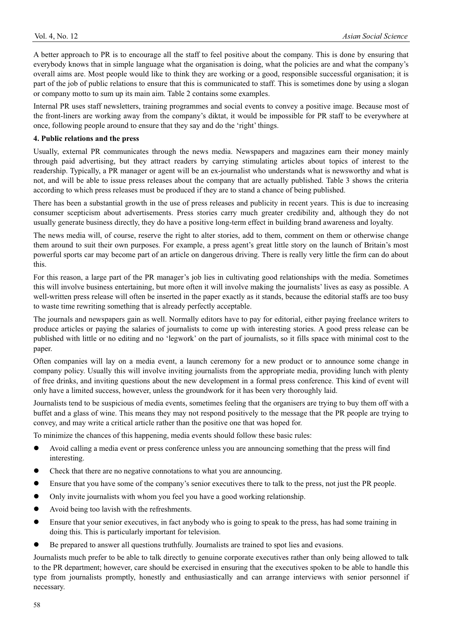A better approach to PR is to encourage all the staff to feel positive about the company. This is done by ensuring that everybody knows that in simple language what the organisation is doing, what the policies are and what the company's overall aims are. Most people would like to think they are working or a good, responsible successful organisation; it is part of the job of public relations to ensure that this is communicated to staff. This is sometimes done by using a slogan or company motto to sum up its main aim. Table 2 contains some examples.

Internal PR uses staff newsletters, training programmes and social events to convey a positive image. Because most of the front-liners are working away from the company's diktat, it would be impossible for PR staff to be everywhere at once, following people around to ensure that they say and do the 'right' things.

#### **4. Public relations and the press**

Usually, external PR communicates through the news media. Newspapers and magazines earn their money mainly through paid advertising, but they attract readers by carrying stimulating articles about topics of interest to the readership. Typically, a PR manager or agent will be an ex-journalist who understands what is newsworthy and what is not, and will be able to issue press releases about the company that are actually published. Table 3 shows the criteria according to which press releases must be produced if they are to stand a chance of being published.

There has been a substantial growth in the use of press releases and publicity in recent years. This is due to increasing consumer scepticism about advertisements. Press stories carry much greater credibility and, although they do not usually generate business directly, they do have a positive long-term effect in building brand awareness and loyalty.

The news media will, of course, reserve the right to alter stories, add to them, comment on them or otherwise change them around to suit their own purposes. For example, a press agent's great little story on the launch of Britain's most powerful sports car may become part of an article on dangerous driving. There is really very little the firm can do about this.

For this reason, a large part of the PR manager's job lies in cultivating good relationships with the media. Sometimes this will involve business entertaining, but more often it will involve making the journalists' lives as easy as possible. A well-written press release will often be inserted in the paper exactly as it stands, because the editorial staffs are too busy to waste time rewriting something that is already perfectly acceptable.

The journals and newspapers gain as well. Normally editors have to pay for editorial, either paying freelance writers to produce articles or paying the salaries of journalists to come up with interesting stories. A good press release can be published with little or no editing and no 'legwork' on the part of journalists, so it fills space with minimal cost to the paper.

Often companies will lay on a media event, a launch ceremony for a new product or to announce some change in company policy. Usually this will involve inviting journalists from the appropriate media, providing lunch with plenty of free drinks, and inviting questions about the new development in a formal press conference. This kind of event will only have a limited success, however, unless the groundwork for it has been very thoroughly laid.

Journalists tend to be suspicious of media events, sometimes feeling that the organisers are trying to buy them off with a buffet and a glass of wine. This means they may not respond positively to the message that the PR people are trying to convey, and may write a critical article rather than the positive one that was hoped for.

To minimize the chances of this happening, media events should follow these basic rules:

- Avoid calling a media event or press conference unless you are announcing something that the press will find interesting.
- Check that there are no negative connotations to what you are announcing.
- Ensure that you have some of the company's senior executives there to talk to the press, not just the PR people.
- Only invite journalists with whom you feel you have a good working relationship.
- $\bullet$  Avoid being too lavish with the refreshments.
- Ensure that your senior executives, in fact anybody who is going to speak to the press, has had some training in doing this. This is particularly important for television.
- Be prepared to answer all questions truthfully. Journalists are trained to spot lies and evasions.

Journalists much prefer to be able to talk directly to genuine corporate executives rather than only being allowed to talk to the PR department; however, care should be exercised in ensuring that the executives spoken to be able to handle this type from journalists promptly, honestly and enthusiastically and can arrange interviews with senior personnel if necessary.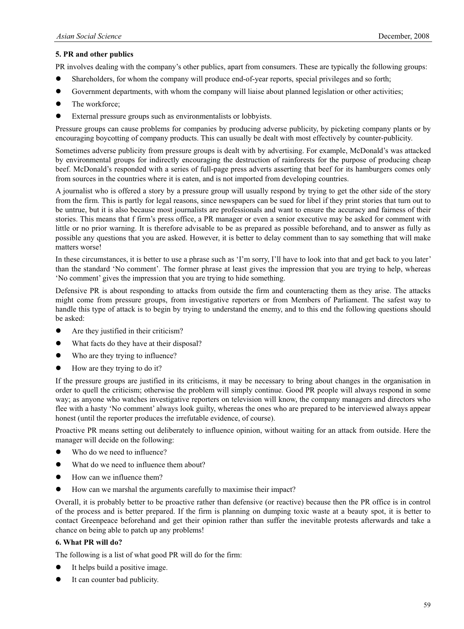## **5. PR and other publics**

PR involves dealing with the company's other publics, apart from consumers. These are typically the following groups:

- Shareholders, for whom the company will produce end-of-year reports, special privileges and so forth;
- Government departments, with whom the company will liaise about planned legislation or other activities;
- The workforce;
- External pressure groups such as environmentalists or lobbyists.

Pressure groups can cause problems for companies by producing adverse publicity, by picketing company plants or by encouraging boycotting of company products. This can usually be dealt with most effectively by counter-publicity.

Sometimes adverse publicity from pressure groups is dealt with by advertising. For example, McDonald's was attacked by environmental groups for indirectly encouraging the destruction of rainforests for the purpose of producing cheap beef. McDonald's responded with a series of full-page press adverts asserting that beef for its hamburgers comes only from sources in the countries where it is eaten, and is not imported from developing countries.

A journalist who is offered a story by a pressure group will usually respond by trying to get the other side of the story from the firm. This is partly for legal reasons, since newspapers can be sued for libel if they print stories that turn out to be untrue, but it is also because most journalists are professionals and want to ensure the accuracy and fairness of their stories. This means that f firm's press office, a PR manager or even a senior executive may be asked for comment with little or no prior warning. It is therefore advisable to be as prepared as possible beforehand, and to answer as fully as possible any questions that you are asked. However, it is better to delay comment than to say something that will make matters worse!

In these circumstances, it is better to use a phrase such as 'I'm sorry, I'll have to look into that and get back to you later' than the standard 'No comment'. The former phrase at least gives the impression that you are trying to help, whereas 'No comment' gives the impression that you are trying to hide something.

Defensive PR is about responding to attacks from outside the firm and counteracting them as they arise. The attacks might come from pressure groups, from investigative reporters or from Members of Parliament. The safest way to handle this type of attack is to begin by trying to understand the enemy, and to this end the following questions should be asked:

- Are they justified in their criticism?
- What facts do they have at their disposal?
- Who are they trying to influence?
- How are they trying to do it?

If the pressure groups are justified in its criticisms, it may be necessary to bring about changes in the organisation in order to quell the criticism; otherwise the problem will simply continue. Good PR people will always respond in some way; as anyone who watches investigative reporters on television will know, the company managers and directors who flee with a hasty 'No comment' always look guilty, whereas the ones who are prepared to be interviewed always appear honest (until the reporter produces the irrefutable evidence, of course).

Proactive PR means setting out deliberately to influence opinion, without waiting for an attack from outside. Here the manager will decide on the following:

- Who do we need to influence?
- What do we need to influence them about?
- How can we influence them?
- How can we marshal the arguments carefully to maximise their impact?

Overall, it is probably better to be proactive rather than defensive (or reactive) because then the PR office is in control of the process and is better prepared. If the firm is planning on dumping toxic waste at a beauty spot, it is better to contact Greenpeace beforehand and get their opinion rather than suffer the inevitable protests afterwards and take a chance on being able to patch up any problems!

#### **6. What PR will do?**

The following is a list of what good PR will do for the firm:

- It helps build a positive image.
- It can counter bad publicity.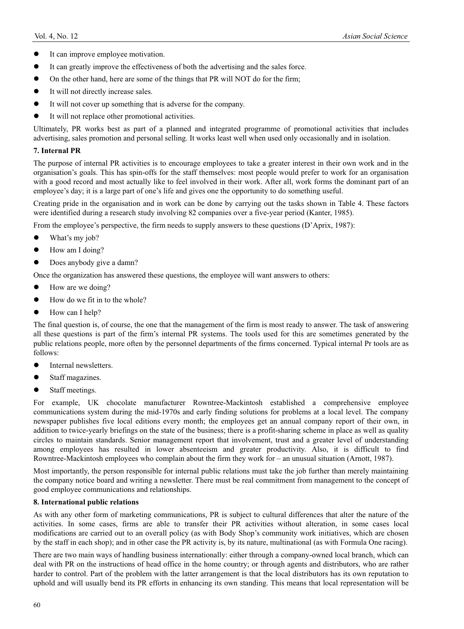- It can improve employee motivation.
- $\bullet$  It can greatly improve the effectiveness of both the advertising and the sales force.
- On the other hand, here are some of the things that PR will NOT do for the firm;
- It will not directly increase sales.
- z It will not cover up something that is adverse for the company.
- It will not replace other promotional activities.

Ultimately, PR works best as part of a planned and integrated programme of promotional activities that includes advertising, sales promotion and personal selling. It works least well when used only occasionally and in isolation.

#### **7. Internal PR**

The purpose of internal PR activities is to encourage employees to take a greater interest in their own work and in the organisation's goals. This has spin-offs for the staff themselves: most people would prefer to work for an organisation with a good record and most actually like to feel involved in their work. After all, work forms the dominant part of an employee's day; it is a large part of one's life and gives one the opportunity to do something useful.

Creating pride in the organisation and in work can be done by carrying out the tasks shown in Table 4. These factors were identified during a research study involving 82 companies over a five-year period (Kanter, 1985).

From the employee's perspective, the firm needs to supply answers to these questions (D'Aprix, 1987):

- What's my job?
- $\bullet$  How am I doing?
- Does anybody give a damn?

Once the organization has answered these questions, the employee will want answers to others:

- How are we doing?
- $\bullet$  How do we fit in to the whole?
- $\bullet$  How can I help?

The final question is, of course, the one that the management of the firm is most ready to answer. The task of answering all these questions is part of the firm's internal PR systems. The tools used for this are sometimes generated by the public relations people, more often by the personnel departments of the firms concerned. Typical internal Pr tools are as follows:

- Internal newsletters.
- Staff magazines.
- Staff meetings.

For example, UK chocolate manufacturer Rowntree-Mackintosh established a comprehensive employee communications system during the mid-1970s and early finding solutions for problems at a local level. The company newspaper publishes five local editions every month; the employees get an annual company report of their own, in addition to twice-yearly briefings on the state of the business; there is a profit-sharing scheme in place as well as quality circles to maintain standards. Senior management report that involvement, trust and a greater level of understanding among employees has resulted in lower absenteeism and greater productivity. Also, it is difficult to find Rowntree-Mackintosh employees who complain about the firm they work for – an unusual situation (Arnott, 1987).

Most importantly, the person responsible for internal public relations must take the job further than merely maintaining the company notice board and writing a newsletter. There must be real commitment from management to the concept of good employee communications and relationships.

#### **8. International public relations**

As with any other form of marketing communications, PR is subject to cultural differences that alter the nature of the activities. In some cases, firms are able to transfer their PR activities without alteration, in some cases local modifications are carried out to an overall policy (as with Body Shop's community work initiatives, which are chosen by the staff in each shop); and in other case the PR activity is, by its nature, multinational (as with Formula One racing).

There are two main ways of handling business internationally: either through a company-owned local branch, which can deal with PR on the instructions of head office in the home country; or through agents and distributors, who are rather harder to control. Part of the problem with the latter arrangement is that the local distributors has its own reputation to uphold and will usually bend its PR efforts in enhancing its own standing. This means that local representation will be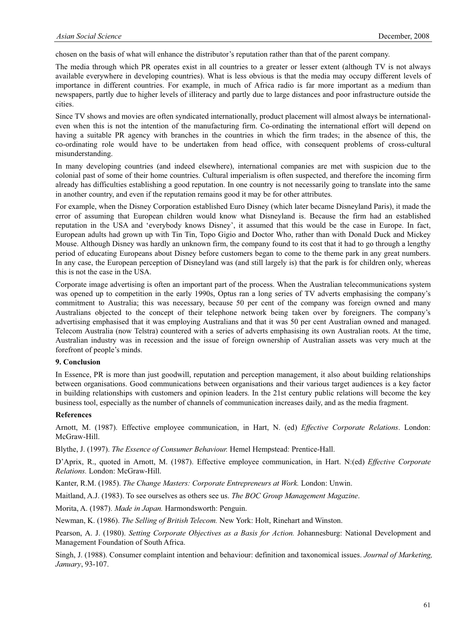chosen on the basis of what will enhance the distributor's reputation rather than that of the parent company.

The media through which PR operates exist in all countries to a greater or lesser extent (although TV is not always available everywhere in developing countries). What is less obvious is that the media may occupy different levels of importance in different countries. For example, in much of Africa radio is far more important as a medium than newspapers, partly due to higher levels of illiteracy and partly due to large distances and poor infrastructure outside the cities.

Since TV shows and movies are often syndicated internationally, product placement will almost always be internationaleven when this is not the intention of the manufacturing firm. Co-ordinating the international effort will depend on having a suitable PR agency with branches in the countries in which the firm trades; in the absence of this, the co-ordinating role would have to be undertaken from head office, with consequent problems of cross-cultural misunderstanding.

In many developing countries (and indeed elsewhere), international companies are met with suspicion due to the colonial past of some of their home countries. Cultural imperialism is often suspected, and therefore the incoming firm already has difficulties establishing a good reputation. In one country is not necessarily going to translate into the same in another country, and even if the reputation remains good it may be for other attributes.

For example, when the Disney Corporation established Euro Disney (which later became Disneyland Paris), it made the error of assuming that European children would know what Disneyland is. Because the firm had an established reputation in the USA and 'everybody knows Disney', it assumed that this would be the case in Europe. In fact, European adults had grown up with Tin Tin, Topo Gigio and Doctor Who, rather than with Donald Duck and Mickey Mouse. Although Disney was hardly an unknown firm, the company found to its cost that it had to go through a lengthy period of educating Europeans about Disney before customers began to come to the theme park in any great numbers. In any case, the European perception of Disneyland was (and still largely is) that the park is for children only, whereas this is not the case in the USA.

Corporate image advertising is often an important part of the process. When the Australian telecommunications system was opened up to competition in the early 1990s, Optus ran a long series of TV adverts emphasising the company's commitment to Australia; this was necessary, because 50 per cent of the company was foreign owned and many Australians objected to the concept of their telephone network being taken over by foreigners. The company's advertising emphasised that it was employing Australians and that it was 50 per cent Australian owned and managed. Telecom Australia (now Telstra) countered with a series of adverts emphasising its own Australian roots. At the time, Australian industry was in recession and the issue of foreign ownership of Australian assets was very much at the forefront of people's minds.

#### **9. Conclusion**

In Essence, PR is more than just goodwill, reputation and perception management, it also about building relationships between organisations. Good communications between organisations and their various target audiences is a key factor in building relationships with customers and opinion leaders. In the 21st century public relations will become the key business tool, especially as the number of channels of communication increases daily, and as the media fragment.

#### **References**

Arnott, M. (1987). Effective employee communication, in Hart, N. (ed) *Effective Corporate Relations*. London: McGraw-Hill.

Blythe, J. (1997). *The Essence of Consumer Behaviour.* Hemel Hempstead: Prentice-Hall.

D'Aprix, R., quoted in Arnott, M. (1987). Effective employee communication, in Hart. N:(ed) *Effective Corporate Relations.* London: McGraw-Hill.

Kanter, R.M. (1985). *The Change Masters: Corporate Entrepreneurs at Work.* London: Unwin.

Maitland, A.J. (1983). To see ourselves as others see us. *The BOC Group Management Magazine*.

Morita, A. (1987). *Made in Japan.* Harmondsworth: Penguin.

Newman, K. (1986). *The Selling of British Telecom.* New York: Holt, Rinehart and Winston.

Pearson, A. J. (1980). *Setting Corporate Objectives as a Basis for Action.* Johannesburg: National Development and Management Foundation of South Africa.

Singh, J. (1988). Consumer complaint intention and behaviour: definition and taxonomical issues. *Journal of Marketing, January*, 93-107.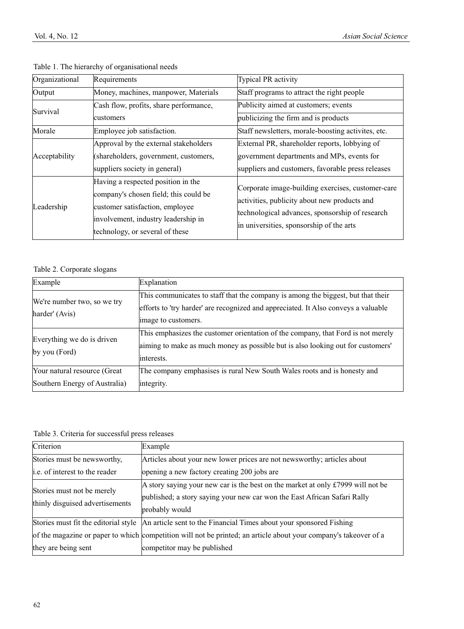| Organizational | Requirements                                                                                                                                                                             | Typical PR activity                                                                                                                                                                              |
|----------------|------------------------------------------------------------------------------------------------------------------------------------------------------------------------------------------|--------------------------------------------------------------------------------------------------------------------------------------------------------------------------------------------------|
| Output         | Money, machines, manpower, Materials                                                                                                                                                     | Staff programs to attract the right people                                                                                                                                                       |
| Survival       | Cash flow, profits, share performance,                                                                                                                                                   | Publicity aimed at customers; events                                                                                                                                                             |
|                | customers                                                                                                                                                                                | publicizing the firm and is products                                                                                                                                                             |
| Morale         | Employee job satisfaction.                                                                                                                                                               | Staff newsletters, morale-boosting activites, etc.                                                                                                                                               |
| Acceptability  | Approval by the external stakeholders                                                                                                                                                    | External PR, shareholder reports, lobbying of                                                                                                                                                    |
|                | (shareholders, government, customers,                                                                                                                                                    | government departments and MPs, events for                                                                                                                                                       |
|                | suppliers society in general)                                                                                                                                                            | suppliers and customers, favorable press releases                                                                                                                                                |
| Leadership     | Having a respected position in the<br>company's chosen field; this could be<br>customer satisfaction, employee<br>involvement, industry leadership in<br>technology, or several of these | Corporate image-building exercises, customer-care<br>activities, publicity about new products and<br>technological advances, sponsorship of research<br>in universities, sponsorship of the arts |

Table 1. The hierarchy of organisational needs

# Table 2. Corporate slogans

| Example                                       | Explanation                                                                                                                                                                                   |
|-----------------------------------------------|-----------------------------------------------------------------------------------------------------------------------------------------------------------------------------------------------|
| We're number two, so we try<br>harder' (Avis) | This communicates to staff that the company is among the biggest, but that their<br>efforts to 'try harder' are recognized and appreciated. It Also conveys a valuable<br>image to customers. |
| Everything we do is driven<br>by you (Ford)   | This emphasizes the customer orientation of the company, that Ford is not merely<br>aiming to make as much money as possible but is also looking out for customers'<br>interests.             |
| Your natural resource (Great                  | The company emphasises is rural New South Wales roots and is honesty and                                                                                                                      |
| Southern Energy of Australia)                 | integrity.                                                                                                                                                                                    |

Table 3. Criteria for successful press releases

| Criterion                                                     | Example                                                                                                                                                                       |
|---------------------------------------------------------------|-------------------------------------------------------------------------------------------------------------------------------------------------------------------------------|
| Stories must be newsworthy,                                   | Articles about your new lower prices are not newsworthy; articles about                                                                                                       |
| i.e. of interest to the reader                                | opening a new factory creating 200 jobs are                                                                                                                                   |
| Stories must not be merely<br>thinly disguised advertisements | A story saying your new car is the best on the market at only £7999 will not be<br>published; a story saying your new car won the East African Safari Rally<br>probably would |
|                                                               | Stories must fit the editorial style   An article sent to the Financial Times about your sponsored Fishing                                                                    |
|                                                               | of the magazine or paper to which competition will not be printed; an article about your company's takeover of a                                                              |
| they are being sent                                           | competitor may be published                                                                                                                                                   |